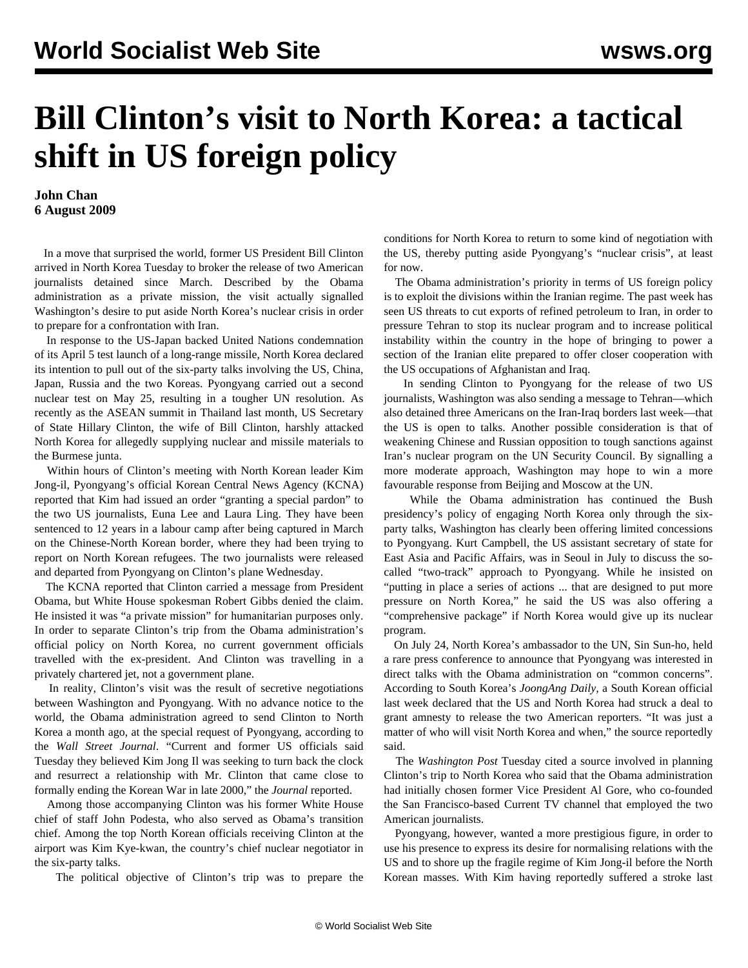## **Bill Clinton's visit to North Korea: a tactical shift in US foreign policy**

## **John Chan 6 August 2009**

 In a move that surprised the world, former US President Bill Clinton arrived in North Korea Tuesday to broker the release of two American journalists detained since March. Described by the Obama administration as a private mission, the visit actually signalled Washington's desire to put aside North Korea's nuclear crisis in order to prepare for a confrontation with Iran.

 In response to the US-Japan backed United Nations condemnation of its April 5 test launch of a long-range missile, North Korea declared its intention to pull out of the six-party talks involving the US, China, Japan, Russia and the two Koreas. Pyongyang carried out a second nuclear test on May 25, resulting in a tougher UN resolution. As recently as the ASEAN summit in Thailand last month, US Secretary of State Hillary Clinton, the wife of Bill Clinton, harshly attacked North Korea for allegedly supplying nuclear and missile materials to the Burmese junta.

 Within hours of Clinton's meeting with North Korean leader Kim Jong-il, Pyongyang's official Korean Central News Agency (KCNA) reported that Kim had issued an order "granting a special pardon" to the two US journalists, Euna Lee and Laura Ling. They have been sentenced to 12 years in a labour camp after being captured in March on the Chinese-North Korean border, where they had been trying to report on North Korean refugees. The two journalists were released and departed from Pyongyang on Clinton's plane Wednesday.

 The KCNA reported that Clinton carried a message from President Obama, but White House spokesman Robert Gibbs denied the claim. He insisted it was "a private mission" for humanitarian purposes only. In order to separate Clinton's trip from the Obama administration's official policy on North Korea, no current government officials travelled with the ex-president. And Clinton was travelling in a privately chartered jet, not a government plane.

 In reality, Clinton's visit was the result of secretive negotiations between Washington and Pyongyang. With no advance notice to the world, the Obama administration agreed to send Clinton to North Korea a month ago, at the special request of Pyongyang, according to the *Wall Street Journal*. "Current and former US officials said Tuesday they believed Kim Jong Il was seeking to turn back the clock and resurrect a relationship with Mr. Clinton that came close to formally ending the Korean War in late 2000," the *Journal* reported.

 Among those accompanying Clinton was his former White House chief of staff John Podesta, who also served as Obama's transition chief. Among the top North Korean officials receiving Clinton at the airport was Kim Kye-kwan, the country's chief nuclear negotiator in the six-party talks.

The political objective of Clinton's trip was to prepare the

conditions for North Korea to return to some kind of negotiation with the US, thereby putting aside Pyongyang's "nuclear crisis", at least for now.

 The Obama administration's priority in terms of US foreign policy is to exploit the divisions within the Iranian regime. The past week has seen US threats to cut exports of refined petroleum to Iran, in order to pressure Tehran to stop its nuclear program and to increase political instability within the country in the hope of bringing to power a section of the Iranian elite prepared to offer closer cooperation with the US occupations of Afghanistan and Iraq.

 In sending Clinton to Pyongyang for the release of two US journalists, Washington was also sending a message to Tehran—which also detained three Americans on the Iran-Iraq borders last week—that the US is open to talks. Another possible consideration is that of weakening Chinese and Russian opposition to tough sanctions against Iran's nuclear program on the UN Security Council. By signalling a more moderate approach, Washington may hope to win a more favourable response from Beijing and Moscow at the UN.

 While the Obama administration has continued the Bush presidency's policy of engaging North Korea only through the sixparty talks, Washington has clearly been offering limited concessions to Pyongyang. Kurt Campbell, the US assistant secretary of state for East Asia and Pacific Affairs, was in Seoul in July to discuss the socalled "two-track" approach to Pyongyang. While he insisted on "putting in place a series of actions ... that are designed to put more pressure on North Korea," he said the US was also offering a "comprehensive package" if North Korea would give up its nuclear program.

 On July 24, North Korea's ambassador to the UN, Sin Sun-ho, held a rare press conference to announce that Pyongyang was interested in direct talks with the Obama administration on "common concerns". According to South Korea's *JoongAng Daily*, a South Korean official last week declared that the US and North Korea had struck a deal to grant amnesty to release the two American reporters. "It was just a matter of who will visit North Korea and when," the source reportedly said.

 The *Washington Post* Tuesday cited a source involved in planning Clinton's trip to North Korea who said that the Obama administration had initially chosen former Vice President Al Gore, who co-founded the San Francisco-based Current TV channel that employed the two American journalists.

 Pyongyang, however, wanted a more prestigious figure, in order to use his presence to express its desire for normalising relations with the US and to shore up the fragile regime of Kim Jong-il before the North Korean masses. With Kim having reportedly suffered a stroke last